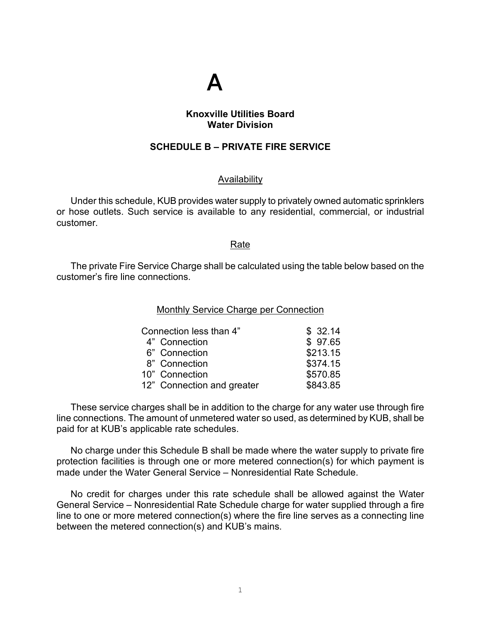# A

### **Knoxville Utilities Board Water Division**

## **SCHEDULE B – PRIVATE FIRE SERVICE**

## Availability

Under this schedule, KUB provides water supply to privately owned automatic sprinklers or hose outlets. Such service is available to any residential, commercial, or industrial customer.

#### Rate

The private Fire Service Charge shall be calculated using the table below based on the customer's fire line connections.

#### Monthly Service Charge per Connection

| Connection less than 4" |                            | \$32.14  |
|-------------------------|----------------------------|----------|
|                         | 4" Connection              | \$97.65  |
|                         | 6" Connection              | \$213.15 |
|                         | 8" Connection              | \$374.15 |
|                         | 10" Connection             | \$570.85 |
|                         | 12" Connection and greater | \$843.85 |

These service charges shall be in addition to the charge for any water use through fire line connections. The amount of unmetered water so used, as determined by KUB, shall be paid for at KUB's applicable rate schedules.

No charge under this Schedule B shall be made where the water supply to private fire protection facilities is through one or more metered connection(s) for which payment is made under the Water General Service – Nonresidential Rate Schedule.

No credit for charges under this rate schedule shall be allowed against the Water General Service – Nonresidential Rate Schedule charge for water supplied through a fire line to one or more metered connection(s) where the fire line serves as a connecting line between the metered connection(s) and KUB's mains.